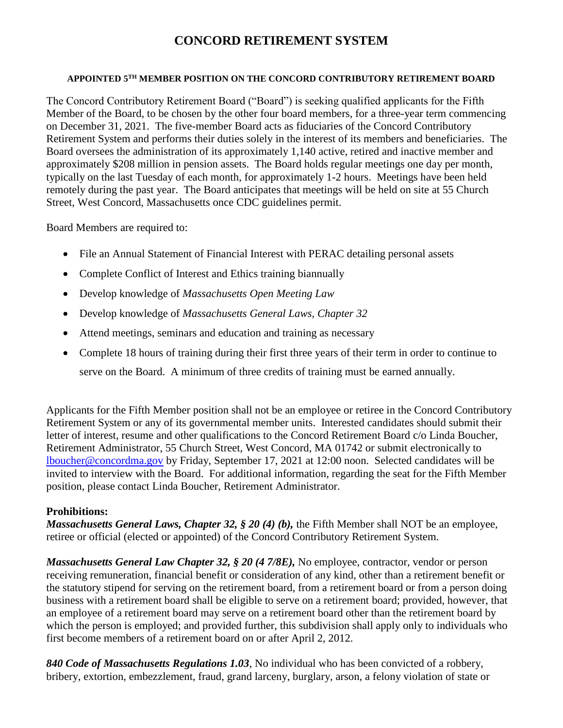## **CONCORD RETIREMENT SYSTEM**

## **APPOINTED 5TH MEMBER POSITION ON THE CONCORD CONTRIBUTORY RETIREMENT BOARD**

The Concord Contributory Retirement Board ("Board") is seeking qualified applicants for the Fifth Member of the Board, to be chosen by the other four board members, for a three-year term commencing on December 31, 2021. The five-member Board acts as fiduciaries of the Concord Contributory Retirement System and performs their duties solely in the interest of its members and beneficiaries. The Board oversees the administration of its approximately 1,140 active, retired and inactive member and approximately \$208 million in pension assets. The Board holds regular meetings one day per month, typically on the last Tuesday of each month, for approximately 1-2 hours. Meetings have been held remotely during the past year. The Board anticipates that meetings will be held on site at 55 Church Street, West Concord, Massachusetts once CDC guidelines permit.

Board Members are required to:

- File an Annual Statement of Financial Interest with PERAC detailing personal assets
- Complete Conflict of Interest and Ethics training biannually
- Develop knowledge of *Massachusetts Open Meeting Law*
- Develop knowledge of *Massachusetts General Laws, Chapter 32*
- Attend meetings, seminars and education and training as necessary
- Complete 18 hours of training during their first three years of their term in order to continue to serve on the Board. A minimum of three credits of training must be earned annually.

Applicants for the Fifth Member position shall not be an employee or retiree in the Concord Contributory Retirement System or any of its governmental member units. Interested candidates should submit their letter of interest, resume and other qualifications to the Concord Retirement Board c/o Linda Boucher, Retirement Administrator, 55 Church Street, West Concord, MA 01742 or submit electronically to [lboucher@concordma.gov](mailto:lboucher@concordma.gov) by Friday, September 17, 2021 at 12:00 noon. Selected candidates will be invited to interview with the Board. For additional information, regarding the seat for the Fifth Member position, please contact Linda Boucher, Retirement Administrator.

## **Prohibitions:**

*Massachusetts General Laws, Chapter 32, § 20 (4) (b), the Fifth Member shall NOT be an employee,* retiree or official (elected or appointed) of the Concord Contributory Retirement System.

*Massachusetts General Law Chapter 32, § 20 (4 7/8E),* No employee, contractor, vendor or person receiving remuneration, financial benefit or consideration of any kind, other than a retirement benefit or the statutory stipend for serving on the retirement board, from a retirement board or from a person doing business with a retirement board shall be eligible to serve on a retirement board; provided, however, that an employee of a retirement board may serve on a retirement board other than the retirement board by which the person is employed; and provided further, this subdivision shall apply only to individuals who first become members of a retirement board on or after April 2, 2012.

*840 Code of Massachusetts Regulations 1.03*, No individual who has been convicted of a robbery, bribery, extortion, embezzlement, fraud, grand larceny, burglary, arson, a felony violation of state or